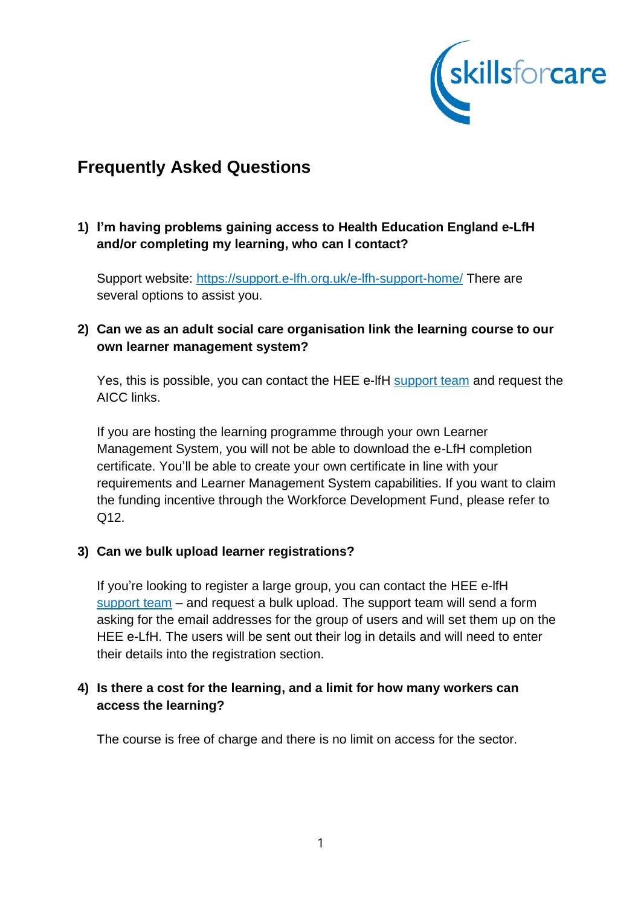

# **Frequently Asked Questions**

# **1) I'm having problems gaining access to Health Education England e-LfH and/or completing my learning, who can I contact?**

Support website:<https://support.e-lfh.org.uk/e-lfh-support-home/> There are several options to assist you.

# **2) Can we as an adult social care organisation link the learning course to our own learner management system?**

Yes, this is possible, you can contact the HEE e-lfH [support team](mailto:support@e-lfh.org.uk) and request the AICC links.

If you are hosting the learning programme through your own Learner Management System, you will not be able to download the e-LfH completion certificate. You'll be able to create your own certificate in line with your requirements and Learner Management System capabilities. If you want to claim the funding incentive through the Workforce Development Fund, please refer to Q12.

## **3) Can we bulk upload learner registrations?**

If you're looking to register a large group, you can contact the HEE e-lfH [support team](mailto:support@e-lfh.org.uk) – and request a bulk upload. The support team will send a form asking for the email addresses for the group of users and will set them up on the HEE e-LfH. The users will be sent out their log in details and will need to enter their details into the registration section.

## **4) Is there a cost for the learning, and a limit for how many workers can access the learning?**

The course is free of charge and there is no limit on access for the sector.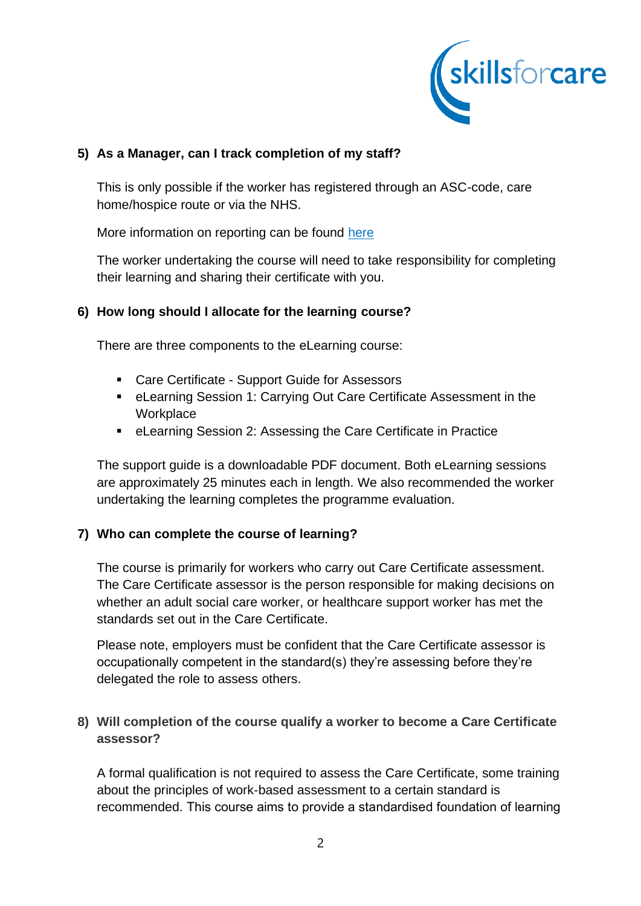

## **5) As a Manager, can I track completion of my staff?**

This is only possible if the worker has registered through an ASC-code, care home/hospice route or via the NHS.

More information on reporting can be found [here](https://eur01.safelinks.protection.outlook.com/?url=https%3A%2F%2Fsupport.e-lfh.org.uk%2Fmy-activity%2Freports%2F%231315&data=04%7C01%7Csally.lloyd%40skillsforcare.org.uk%7C630bd8a749cb41cb310408d9040ddbed%7C5c317017415d43e6ada17668f9ad3f9f%7C0%7C0%7C637545279838035903%7CUnknown%7CTWFpbGZsb3d8eyJWIjoiMC4wLjAwMDAiLCJQIjoiV2luMzIiLCJBTiI6Ik1haWwiLCJXVCI6Mn0%3D%7C1000&sdata=5GYh4ijX6T1dfMA6OsGfynVik17eJF4MdWnwn5jMd0k%3D&reserved=0)

The worker undertaking the course will need to take responsibility for completing their learning and sharing their certificate with you.

## **6) How long should I allocate for the learning course?**

There are three components to the eLearning course:

- Care Certificate Support Guide for Assessors
- eLearning Session 1: Carrying Out Care Certificate Assessment in the **Workplace**
- eLearning Session 2: Assessing the Care Certificate in Practice

The support guide is a downloadable PDF document. Both eLearning sessions are approximately 25 minutes each in length. We also recommended the worker undertaking the learning completes the programme evaluation.

#### **7) Who can complete the course of learning?**

The course is primarily for workers who carry out Care Certificate assessment. The Care Certificate assessor is the person responsible for making decisions on whether an adult social care worker, or healthcare support worker has met the standards set out in the Care Certificate.

Please note, employers must be confident that the Care Certificate assessor is occupationally competent in the standard(s) they're assessing before they're delegated the role to assess others.

## **8) Will completion of the course qualify a worker to become a Care Certificate assessor?**

A formal qualification is not required to assess the Care Certificate, some training about the principles of work-based assessment to a certain standard is recommended. This course aims to provide a standardised foundation of learning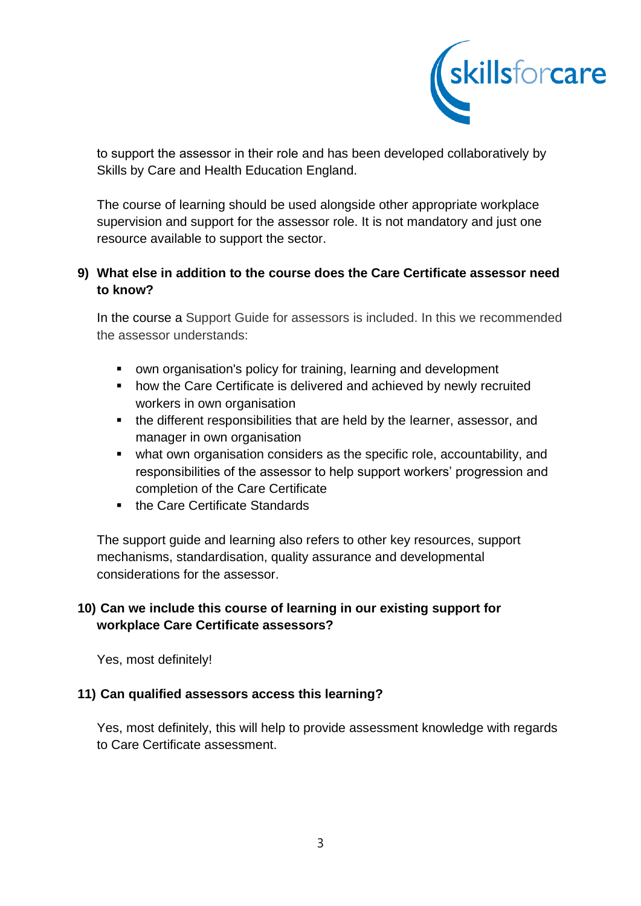

to support the assessor in their role and has been developed collaboratively by Skills by Care and Health Education England.

The course of learning should be used alongside other appropriate workplace supervision and support for the assessor role. It is not mandatory and just one resource available to support the sector.

## **9) What else in addition to the course does the Care Certificate assessor need to know?**

In the course a Support Guide for assessors is included. In this we recommended the assessor understands:

- own organisation's policy for training, learning and development
- how the Care Certificate is delivered and achieved by newly recruited workers in own organisation
- the different responsibilities that are held by the learner, assessor, and manager in own organisation
- what own organisation considers as the specific role, accountability, and responsibilities of the assessor to help support workers' progression and completion of the Care Certificate
- the Care Certificate Standards

The support guide and learning also refers to other key resources, support mechanisms, standardisation, quality assurance and developmental considerations for the assessor.

# **10) Can we include this course of learning in our existing support for workplace Care Certificate assessors?**

Yes, most definitely!

## **11) Can qualified assessors access this learning?**

Yes, most definitely, this will help to provide assessment knowledge with regards to Care Certificate assessment.